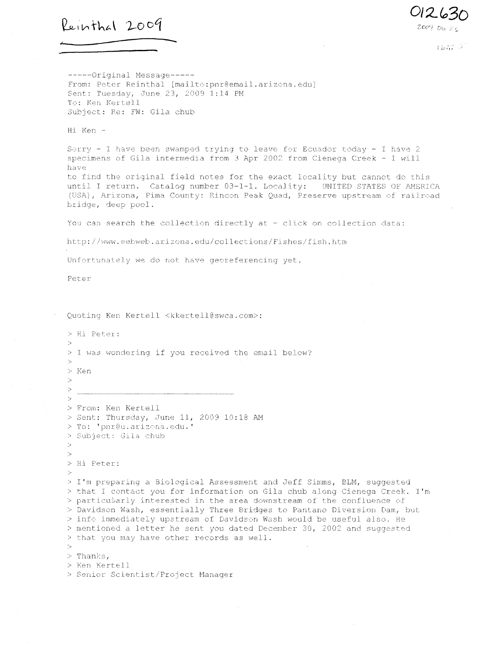$Reinthal$  2009

012630

 $16.77 - 2$ 

------Original Message-----From: Peter Reinthal [mailto:pnr@email.arizona.edu] Sent: Tuesday, June 23, 2009 1:14 PM To: Ken Kertell Subject: Re: FM: Gila chub

 $\overline{\phantom{m}}$ 

Hi Ken -

Sorry - I have been swamped trying to leave for Ecuador today - I have 2 specimens of Gila intermedia from 3 Apr 2002 from Cienega Creek - I will have to find the original field notes for the exact locality but cannot do this until I return. Catalog number 03-1-1. Locality: UNITED STATES OF AMERICA (USA), Arizona, Pima County: Rincon Peak Quad, Preserve upstream of railroad bridge, deep pool.

You can search the collection directly at - click on collection data:

http://www.eebweb.arizona.edu/collections/Fishes/fish.htm

Unfortunately we do not have georeferencing yet.

Peter

Quoting Ken Kertell <kkertell@swca.com>:

a Hi. Peter: > 1 was wondering if you received the email below?  $\searrow$ > Ken  $\rightarrow$  $\geq$ . . . . . . . . . . . . . . .  $\rightarrow$ > From.: Ken Kertell > Sent: Thursday, June 11, 2009 10:18 AM > To: "bur@u.arizona.edu .' > Subject: Gila chub  $\rightarrow$  $\rightarrow$ > Hi Peter: > I'm preparing a Biological Assessment and Jeff Simms, ELM, suggested > that I contact you for information on Gila. chub along Cienega Creek. I'm • particularly interested in the area. downstream of the confluence of > Davidson Wash, essentially Three Bridges to Pantano Diversion Dam, but > info immediately upstream of Davidson Wash would be useful also. He > mentioned a letter he sent you dated December 30, 2002 and suggested > that you may have other records as well  $>$  Thanks, > Ken Kertell > Senior Scientist/Project Manager.